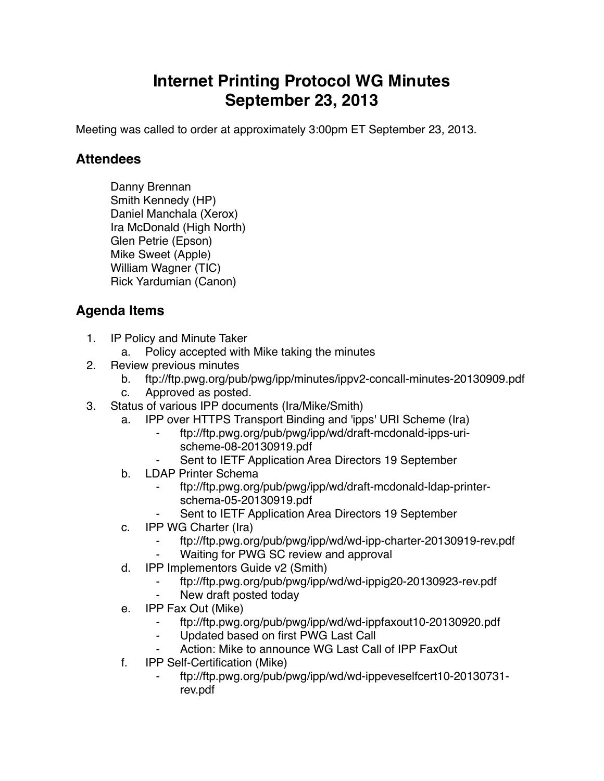## **Internet Printing Protocol WG Minutes September 23, 2013**

Meeting was called to order at approximately 3:00pm ET September 23, 2013.

## **Attendees**

Danny Brennan Smith Kennedy (HP) Daniel Manchala (Xerox) Ira McDonald (High North) Glen Petrie (Epson) Mike Sweet (Apple) William Wagner (TIC) Rick Yardumian (Canon)

## **Agenda Items**

- 1. IP Policy and Minute Taker
	- a. Policy accepted with Mike taking the minutes
- 2. Review previous minutes
	- b. ftp://ftp.pwg.org/pub/pwg/ipp/minutes/ippv2-concall-minutes-20130909.pdf
	- c. Approved as posted.
- 3. Status of various IPP documents (Ira/Mike/Smith)
	- a. IPP over HTTPS Transport Binding and 'ipps' URI Scheme (Ira)
		- ⁃ ftp://ftp.pwg.org/pub/pwg/ipp/wd/draft-mcdonald-ipps-urischeme-08-20130919.pdf
		- Sent to IETF Application Area Directors 19 September
	- b. LDAP Printer Schema
		- ⁃ ftp://ftp.pwg.org/pub/pwg/ipp/wd/draft-mcdonald-ldap-printerschema-05-20130919.pdf
		- Sent to IETF Application Area Directors 19 September
	- c. IPP WG Charter (Ira)
		- ⁃ ftp://ftp.pwg.org/pub/pwg/ipp/wd/wd-ipp-charter-20130919-rev.pdf
		- Waiting for PWG SC review and approval
	- d. IPP Implementors Guide v2 (Smith)
		- ⁃ ftp://ftp.pwg.org/pub/pwg/ipp/wd/wd-ippig20-20130923-rev.pdf
		- New draft posted today
	- e. IPP Fax Out (Mike)
		- ⁃ ftp://ftp.pwg.org/pub/pwg/ipp/wd/wd-ippfaxout10-20130920.pdf
		- ⁃ Updated based on first PWG Last Call
		- Action: Mike to announce WG Last Call of IPP FaxOut
	- f. IPP Self-Certification (Mike)
		- ⁃ ftp://ftp.pwg.org/pub/pwg/ipp/wd/wd-ippeveselfcert10-20130731 rev.pdf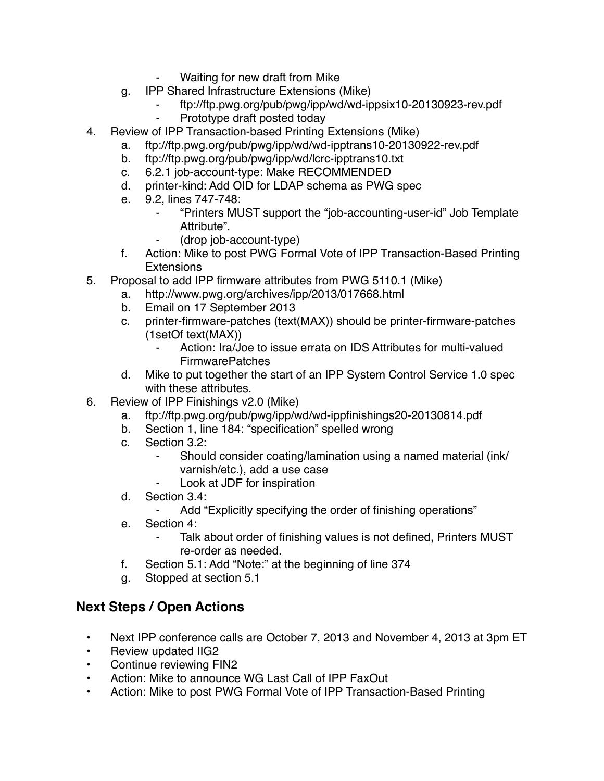- Waiting for new draft from Mike
- g. IPP Shared Infrastructure Extensions (Mike)
	- ⁃ ftp://ftp.pwg.org/pub/pwg/ipp/wd/wd-ippsix10-20130923-rev.pdf
	- ⁃ Prototype draft posted today
- 4. Review of IPP Transaction-based Printing Extensions (Mike)
	- a. ftp://ftp.pwg.org/pub/pwg/ipp/wd/wd-ipptrans10-20130922-rev.pdf
	- b. ftp://ftp.pwg.org/pub/pwg/ipp/wd/lcrc-ipptrans10.txt
	- c. 6.2.1 job-account-type: Make RECOMMENDED
	- d. printer-kind: Add OID for LDAP schema as PWG spec
	- e. 9.2, lines 747-748:
		- ⁃ "Printers MUST support the "job-accounting-user-id" Job Template Attribute".
		- ⁃ (drop job-account-type)
	- f. Action: Mike to post PWG Formal Vote of IPP Transaction-Based Printing **Extensions**
- 5. Proposal to add IPP firmware attributes from PWG 5110.1 (Mike)
	- a. http://www.pwg.org/archives/ipp/2013/017668.html
	- b. Email on 17 September 2013
	- c. printer-firmware-patches (text(MAX)) should be printer-firmware-patches (1setOf text(MAX))
		- Action: Ira/Joe to issue errata on IDS Attributes for multi-valued FirmwarePatches
	- d. Mike to put together the start of an IPP System Control Service 1.0 spec with these attributes.
- 6. Review of IPP Finishings v2.0 (Mike)
	- a. ftp://ftp.pwg.org/pub/pwg/ipp/wd/wd-ippfinishings20-20130814.pdf
	- b. Section 1, line 184: "specification" spelled wrong
	- c. Section 3.2:
		- Should consider coating/lamination using a named material (ink/ varnish/etc.), add a use case
		- Look at JDF for inspiration
	- d. Section 3.4:
		- ⁃ Add "Explicitly specifying the order of finishing operations"
	- e. Section 4:
		- Talk about order of finishing values is not defined, Printers MUST re-order as needed.
	- f. Section 5.1: Add "Note:" at the beginning of line 374
	- g. Stopped at section 5.1

## **Next Steps / Open Actions**

- Next IPP conference calls are October 7, 2013 and November 4, 2013 at 3pm ET
- Review updated IIG2
- Continue reviewing FIN2
- Action: Mike to announce WG Last Call of IPP FaxOut
- Action: Mike to post PWG Formal Vote of IPP Transaction-Based Printing